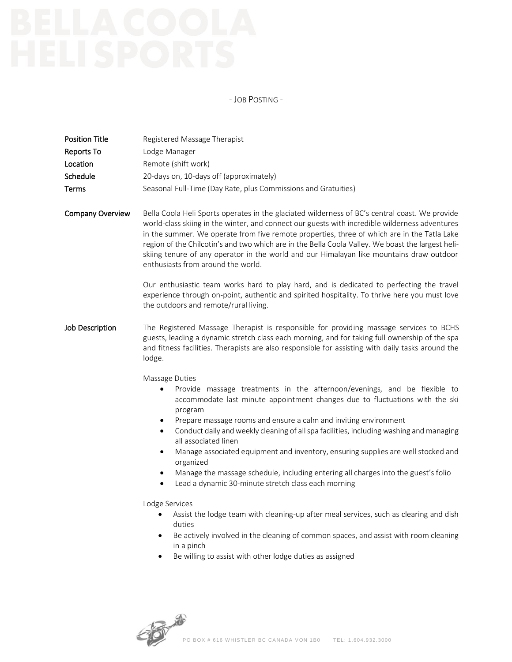- JOB POSTING -

| <b>Position Title</b><br>Reports To<br>Location<br>Schedule<br>Terms | Registered Massage Therapist<br>Lodge Manager<br>Remote (shift work)<br>20-days on, 10-days off (approximately)<br>Seasonal Full-Time (Day Rate, plus Commissions and Gratuities)                                                                                                                                                                                                                                                                                                                                                                                                                                                                                                                                                                                                                                                                                                                                                                                                             |
|----------------------------------------------------------------------|-----------------------------------------------------------------------------------------------------------------------------------------------------------------------------------------------------------------------------------------------------------------------------------------------------------------------------------------------------------------------------------------------------------------------------------------------------------------------------------------------------------------------------------------------------------------------------------------------------------------------------------------------------------------------------------------------------------------------------------------------------------------------------------------------------------------------------------------------------------------------------------------------------------------------------------------------------------------------------------------------|
| <b>Company Overview</b>                                              | Bella Coola Heli Sports operates in the glaciated wilderness of BC's central coast. We provide<br>world-class skiing in the winter, and connect our guests with incredible wilderness adventures<br>in the summer. We operate from five remote properties, three of which are in the Tatla Lake<br>region of the Chilcotin's and two which are in the Bella Coola Valley. We boast the largest heli-<br>skiing tenure of any operator in the world and our Himalayan like mountains draw outdoor<br>enthusiasts from around the world.<br>Our enthusiastic team works hard to play hard, and is dedicated to perfecting the travel<br>experience through on-point, authentic and spirited hospitality. To thrive here you must love<br>the outdoors and remote/rural living.                                                                                                                                                                                                                  |
| <b>Job Description</b>                                               | The Registered Massage Therapist is responsible for providing massage services to BCHS<br>guests, leading a dynamic stretch class each morning, and for taking full ownership of the spa<br>and fitness facilities. Therapists are also responsible for assisting with daily tasks around the<br>lodge.                                                                                                                                                                                                                                                                                                                                                                                                                                                                                                                                                                                                                                                                                       |
|                                                                      | Massage Duties<br>Provide massage treatments in the afternoon/evenings, and be flexible to<br>$\bullet$<br>accommodate last minute appointment changes due to fluctuations with the ski<br>program<br>Prepare massage rooms and ensure a calm and inviting environment<br>$\bullet$<br>Conduct daily and weekly cleaning of all spa facilities, including washing and managing<br>$\bullet$<br>all associated linen<br>Manage associated equipment and inventory, ensuring supplies are well stocked and<br>$\bullet$<br>organized<br>Manage the massage schedule, including entering all charges into the guest's folio<br>٠<br>Lead a dynamic 30-minute stretch class each morning<br>$\bullet$<br>Lodge Services<br>Assist the lodge team with cleaning-up after meal services, such as clearing and dish<br>duties<br>Be actively involved in the cleaning of common spaces, and assist with room cleaning<br>٠<br>in a pinch<br>Be willing to assist with other lodge duties as assigned |